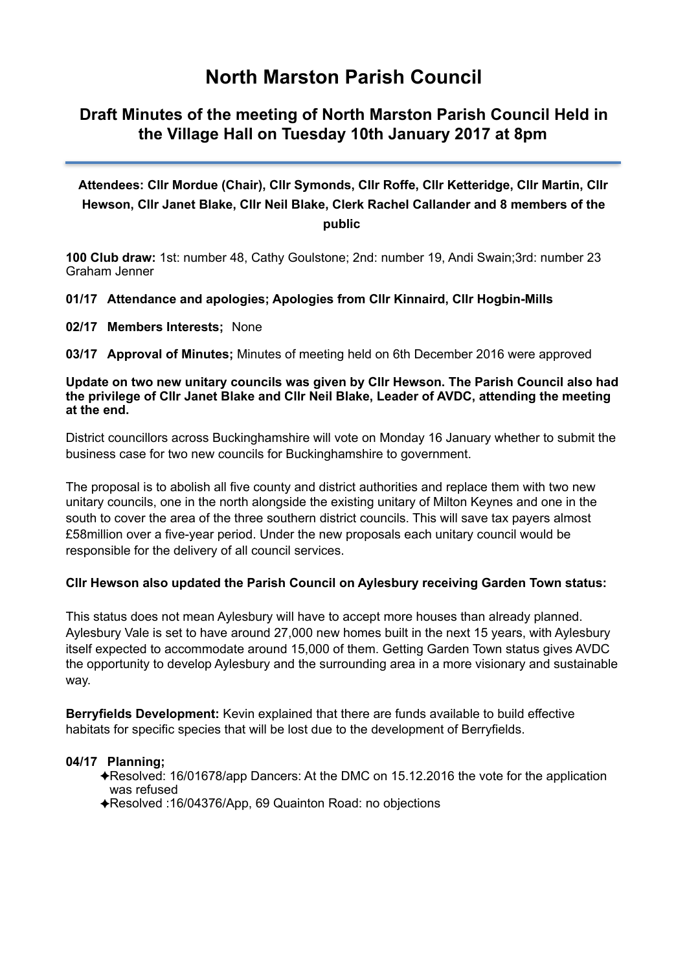# **North Marston Parish Council**

# **Draft Minutes of the meeting of North Marston Parish Council Held in the Village Hall on Tuesday 10th January 2017 at 8pm**

# **Attendees: Cllr Mordue (Chair), Cllr Symonds, Cllr Roffe, Cllr Ketteridge, Cllr Martin, Cllr Hewson, Cllr Janet Blake, Cllr Neil Blake, Clerk Rachel Callander and 8 members of the public**

**100 Club draw:** 1st: number 48, Cathy Goulstone; 2nd: number 19, Andi Swain;3rd: number 23 Graham Jenner

# **01/17 Attendance and apologies; Apologies from Cllr Kinnaird, Cllr Hogbin-Mills**

# **02/17 Members Interests;** None

**03/17 Approval of Minutes;** Minutes of meeting held on 6th December 2016 were approved

#### **Update on two new unitary councils was given by Cllr Hewson. The Parish Council also had the privilege of Cllr Janet Blake and Cllr Neil Blake, Leader of AVDC, attending the meeting at the end.**

District councillors across Buckinghamshire will vote on Monday 16 January whether to submit the business case for two new councils for Buckinghamshire to government.

The proposal is to abolish all five county and district authorities and replace them with two new unitary councils, one in the north alongside the existing unitary of Milton Keynes and one in the south to cover the area of the three southern district councils. This will save tax payers almost £58million over a five-year period. Under the new proposals each unitary council would be responsible for the delivery of all council services.

# **Cllr Hewson also updated the Parish Council on Aylesbury receiving Garden Town status:**

This status does not mean Aylesbury will have to accept more houses than already planned. Aylesbury Vale is set to have around 27,000 new homes built in the next 15 years, with Aylesbury itself expected to accommodate around 15,000 of them. Getting Garden Town status gives AVDC the opportunity to develop Aylesbury and the surrounding area in a more visionary and sustainable way.

**Berryfields Development:** Kevin explained that there are funds available to build effective habitats for specific species that will be lost due to the development of Berryfields.

# **04/17 Planning;**

- ✦Resolved: 16/01678/app Dancers: At the DMC on 15.12.2016 the vote for the application was refused
- ✦Resolved :16/04376/App, 69 Quainton Road: no objections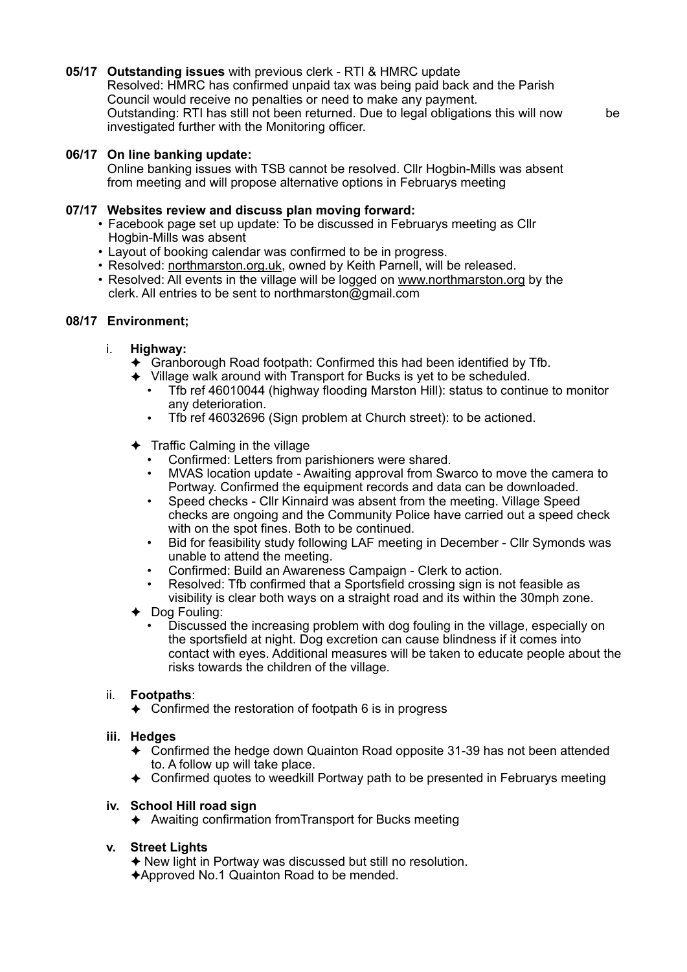# **05/17 Outstanding issues** with previous clerk - RTI & HMRC update

 Resolved: HMRC has confirmed unpaid tax was being paid back and the Parish Council would receive no penalties or need to make any payment. Outstanding: RTI has still not been returned. Due to legal obligations this will now be investigated further with the Monitoring officer.

# **06/17 On line banking update:**

Online banking issues with TSB cannot be resolved. Cllr Hogbin-Mills was absent from meeting and will propose alternative options in Februarys meeting

# **07/17 Websites review and discuss plan moving forward:**

- Facebook page set up update: To be discussed in Februarys meeting as Cllr Hogbin-Mills was absent
- Layout of booking calendar was confirmed to be in progress.
- Resolved: [northmarston.org.uk](http://northmarston.org.uk), owned by Keith Parnell, will be released.
- Resolved: All events in the village will be logged on [www.northmarston.org](http://www.northmarston.org) by the clerk. All entries to be sent to northmarston@gmail.com

# **08/17 Environment;**

- i. **Highway:** 
	- $\triangle$  Granborough Road footpath: Confirmed this had been identified by Tfb.
	- ✦ Village walk around with Transport for Bucks is yet to be scheduled.
		- Tfb ref 46010044 (highway flooding Marston Hill): status to continue to monitor any deterioration.
		- Tfb ref 46032696 (Sign problem at Church street): to be actioned.
	- $\triangleleft$  Traffic Calming in the village
		- Confirmed: Letters from parishioners were shared.
		- MVAS location update Awaiting approval from Swarco to move the camera to Portway. Confirmed the equipment records and data can be downloaded.
		- Speed checks Cllr Kinnaird was absent from the meeting. Village Speed checks are ongoing and the Community Police have carried out a speed check with on the spot fines. Both to be continued.
		- Bid for feasibility study following LAF meeting in December Cllr Symonds was unable to attend the meeting.
		- Confirmed: Build an Awareness Campaign Clerk to action.
		- Resolved: Tfb confirmed that a Sportsfield crossing sign is not feasible as visibility is clear both ways on a straight road and its within the 30mph zone.
	- ✦ Dog Fouling:
		- Discussed the increasing problem with dog fouling in the village, especially on the sportsfield at night. Dog excretion can cause blindness if it comes into contact with eyes. Additional measures will be taken to educate people about the risks towards the children of the village.

# ii. **Footpaths**:

 $\triangle$  Confirmed the restoration of footpath 6 is in progress

#### **iii. Hedges**

- ✦ Confirmed the hedge down Quainton Road opposite 31-39 has not been attended to. A follow up will take place.
- ✦ Confirmed quotes to weedkill Portway path to be presented in Februarys meeting

# **iv. School Hill road sign**

✦ Awaiting confirmation fromTransport for Bucks meeting

# **v. Street Lights**

- ✦ New light in Portway was discussed but still no resolution.
- ✦Approved No.1 Quainton Road to be mended.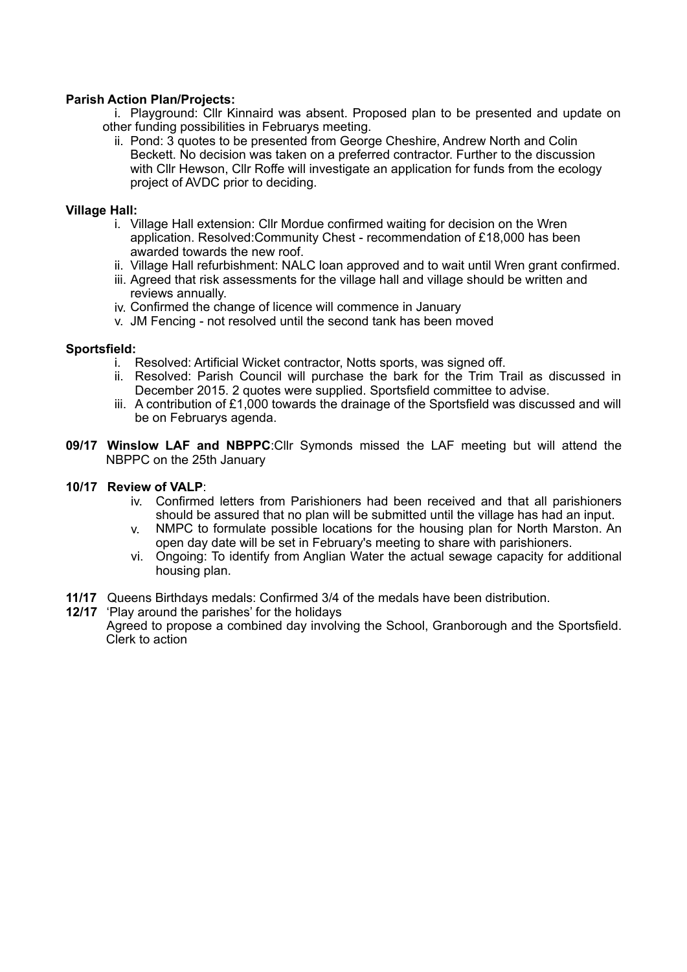# **Parish Action Plan/Projects:**

i. Playground: Cllr Kinnaird was absent. Proposed plan to be presented and update on other funding possibilities in Februarys meeting.

ii. Pond: 3 quotes to be presented from George Cheshire, Andrew North and Colin Beckett. No decision was taken on a preferred contractor. Further to the discussion with Cllr Hewson, Cllr Roffe will investigate an application for funds from the ecology project of AVDC prior to deciding.

### **Village Hall:**

- i. Village Hall extension: Cllr Mordue confirmed waiting for decision on the Wren application. Resolved:Community Chest - recommendation of £18,000 has been awarded towards the new roof.
- ii. Village Hall refurbishment: NALC loan approved and to wait until Wren grant confirmed.
- iii. Agreed that risk assessments for the village hall and village should be written and reviews annually.
- iv. Confirmed the change of licence will commence in January
- v. JM Fencing not resolved until the second tank has been moved

#### **Sportsfield:**

- i. Resolved: Artificial Wicket contractor, Notts sports, was signed off.
- ii. Resolved: Parish Council will purchase the bark for the Trim Trail as discussed in December 2015. 2 quotes were supplied. Sportsfield committee to advise.
- iii. A contribution of £1,000 towards the drainage of the Sportsfield was discussed and will be on Februarys agenda.
- **09/17 Winslow LAF and NBPPC**:Cllr Symonds missed the LAF meeting but will attend the NBPPC on the 25th January

### **10/17 Review of VALP**:

- iv. Confirmed letters from Parishioners had been received and that all parishioners should be assured that no plan will be submitted until the village has had an input.
- v. NMPC to formulate possible locations for the housing plan for North Marston. An open day date will be set in February's meeting to share with parishioners.
- vi. Ongoing: To identify from Anglian Water the actual sewage capacity for additional housing plan.
- **11/17** Queens Birthdays medals: Confirmed 3/4 of the medals have been distribution.
- **12/17** 'Play around the parishes' for the holidays

 Agreed to propose a combined day involving the School, Granborough and the Sportsfield. Clerk to action